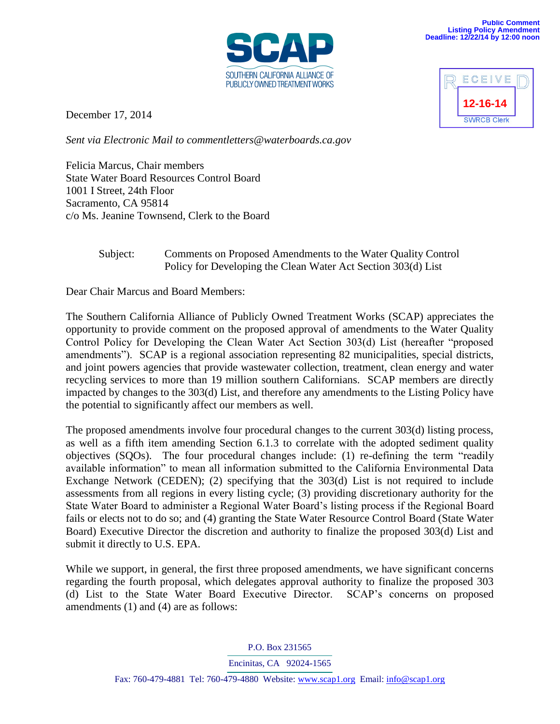

December 17, 2014

*Sent via Electronic Mail to commentletters@waterboards.ca.gov* 

Felicia Marcus, Chair members State Water Board Resources Control Board 1001 I Street, 24th Floor Sacramento, CA 95814 c/o Ms. Jeanine Townsend, Clerk to the Board

## Subject: Comments on Proposed Amendments to the Water Quality Control Policy for Developing the Clean Water Act Section 303(d) List

Dear Chair Marcus and Board Members:

The Southern California Alliance of Publicly Owned Treatment Works (SCAP) appreciates the opportunity to provide comment on the proposed approval of amendments to the Water Quality Control Policy for Developing the Clean Water Act Section 303(d) List (hereafter "proposed amendments"). SCAP is a regional association representing 82 municipalities, special districts, and joint powers agencies that provide wastewater collection, treatment, clean energy and water recycling services to more than 19 million southern Californians. SCAP members are directly impacted by changes to the 303(d) List, and therefore any amendments to the Listing Policy have the potential to significantly affect our members as well.

The proposed amendments involve four procedural changes to the current 303(d) listing process, as well as a fifth item amending Section 6.1.3 to correlate with the adopted sediment quality objectives (SQOs). The four procedural changes include: (1) re-defining the term "readily available information" to mean all information submitted to the California Environmental Data Exchange Network (CEDEN); (2) specifying that the 303(d) List is not required to include assessments from all regions in every listing cycle; (3) providing discretionary authority for the State Water Board to administer a Regional Water Board's listing process if the Regional Board fails or elects not to do so; and (4) granting the State Water Resource Control Board (State Water Board) Executive Director the discretion and authority to finalize the proposed 303(d) List and submit it directly to U.S. EPA.

While we support, in general, the first three proposed amendments, we have significant concerns regarding the fourth proposal, which delegates approval authority to finalize the proposed 303 (d) List to the State Water Board Executive Director. SCAP's concerns on proposed amendments (1) and (4) are as follows:

P.O. Box 231565

Encinitas, CA 92024-1565